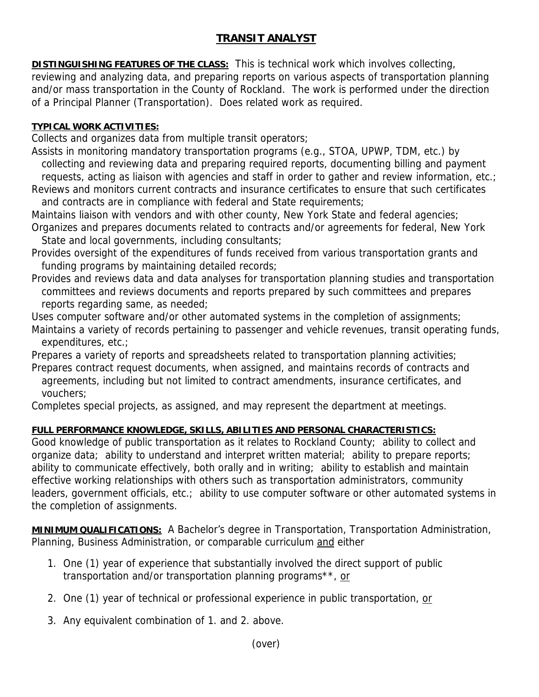## **TRANSIT ANALYST**

**DISTINGUISHING FEATURES OF THE CLASS:** This is technical work which involves collecting,

reviewing and analyzing data, and preparing reports on various aspects of transportation planning and/or mass transportation in the County of Rockland. The work is performed under the direction of a Principal Planner (Transportation). Does related work as required.

## **TYPICAL WORK ACTIVITIES:**

Collects and organizes data from multiple transit operators;

Assists in monitoring mandatory transportation programs (e.g., STOA, UPWP, TDM, etc.) by collecting and reviewing data and preparing required reports, documenting billing and payment

 requests, acting as liaison with agencies and staff in order to gather and review information, etc.; Reviews and monitors current contracts and insurance certificates to ensure that such certificates and contracts are in compliance with federal and State requirements;

Maintains liaison with vendors and with other county, New York State and federal agencies; Organizes and prepares documents related to contracts and/or agreements for federal, New York

State and local governments, including consultants;

- Provides oversight of the expenditures of funds received from various transportation grants and funding programs by maintaining detailed records;
- Provides and reviews data and data analyses for transportation planning studies and transportation committees and reviews documents and reports prepared by such committees and prepares reports regarding same, as needed;

Uses computer software and/or other automated systems in the completion of assignments; Maintains a variety of records pertaining to passenger and vehicle revenues, transit operating funds, expenditures, etc.;

Prepares a variety of reports and spreadsheets related to transportation planning activities; Prepares contract request documents, when assigned, and maintains records of contracts and

 agreements, including but not limited to contract amendments, insurance certificates, and vouchers;

Completes special projects, as assigned, and may represent the department at meetings.

## **FULL PERFORMANCE KNOWLEDGE, SKILLS, ABILITIES AND PERSONAL CHARACTERISTICS:**

Good knowledge of public transportation as it relates to Rockland County; ability to collect and organize data; ability to understand and interpret written material; ability to prepare reports; ability to communicate effectively, both orally and in writing; ability to establish and maintain effective working relationships with others such as transportation administrators, community leaders, government officials, etc.; ability to use computer software or other automated systems in the completion of assignments.

**MINIMUM QUALIFICATIONS:** A Bachelor's degree in Transportation, Transportation Administration, Planning, Business Administration, or comparable curriculum and either

- 1. One (1) year of experience that substantially involved the direct support of public transportation and/or transportation planning programs\*\*, or
- 2. One (1) year of technical or professional experience in public transportation, or
- 3. Any equivalent combination of 1. and 2. above.